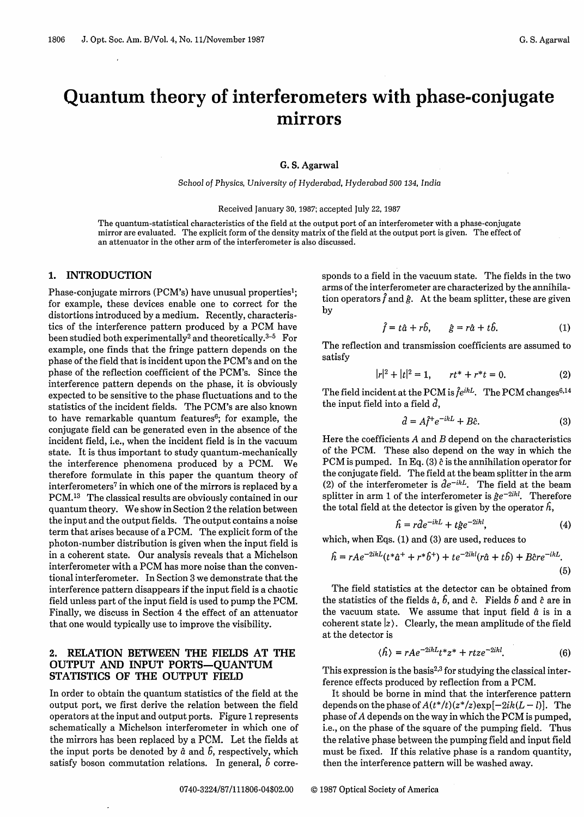# **Quantum theory of interferometers with phase-conjugate** mirrors

#### G. S. Agarwal

*School of* Physics, *University of* Hyderabad, *Hyderabad 500 134, India*

#### Received January 30, 1987; accepted July 22, 1987

The quantum-statistical characteristics of the field at the output port of an interferometer with a phase-conjugate mirror are evaluated. The explicit form of the density matrix of the field at the output port is given. The effect of an attenuator in the other arm of the interferometer is also discussed.

### 1. **INTRODUCTION**

Phase-conjugate mirrors (PCM's) have unusual properties'; for example, these devices enable one to correct for the distortions introduced by a medium. Recently, characteristics of the interference pattern produced by a PCM have been studied both experimentally<sup>2</sup> and theoretically.<sup>3-5</sup> For example, one finds that the fringe pattern depends on the phase of the field that is incident upon the PCM's and on the phase of the reflection coefficient of the PCM's. Since the interference pattern depends on the phase, it is obviously expected to be sensitive to the phase fluctuations and to the statistics of the incident fields. The PCM's are also known to have remarkable quantum features $6$ ; for example, the conjugate field can be generated even in the absence of the incident field, i.e., when the incident field is in the vacuum state. It is thus important to study quantum-mechanically the interference phenomena produced by a PCM. We therefore formulate in this paper the quantum theory of interferometers<sup>7</sup> in which one of the mirrors is replaced by a PCM.1<sup>3</sup> The classical results are obviously contained in our quantum theory. We show in Section 2 the relation between the input and the output fields. The output contains a noise term that arises because of a PCM. The explicit form of the photon-number distribution is given when the input field is in a coherent state. Our analysis reveals that a Michelson interferometer with a PCM has more noise than the conventional interferometer. In Section 3 we demonstrate that the interference pattern disappears if the input field is a chaotic field unless part of the input field is used to pump the PCM. Finally, we discuss in Section 4 the effect of an attenuator that one would typically use to improve the visibility.

### **2. RELATION BETWEEN THE FIELDS AT THE OUTPUT AND INPUT PORTS-QUANTUM STATISTICS OF THE OUTPUT FIELD**

In order to obtain the quantum statistics of the field at the output port, we first derive the relation between the field operators at the input and output ports. Figure 1 represents schematically a Michelson interferometer in which one of the mirrors has been replaced by a PCM. Let the fields at the input ports be denoted by  $\hat{a}$  and  $\hat{b}$ , respectively, which satisfy boson commutation relations. In general,  $\delta$  corresponds to a field in the vacuum state. The fields in the two arms of the interferometer are characterized by the annihilation operators  $\hat{f}$  and  $\hat{g}$ . At the beam splitter, these are given by

$$
\hat{f} = t\hat{a} + r\hat{b}, \qquad \hat{g} = r\hat{a} + t\hat{b}.
$$
 (1)

The reflection and transmission coefficients are assumed to satisfy

$$
|r|^2 + |t|^2 = 1, \qquad rt^* + r^*t = 0.
$$
 (2)

The field incident at the PCM is  $\hat{f}e^{ikL}$ . The PCM changes<sup>6,14</sup> the input field into a field  $\hat{d}$ ,

$$
\hat{d} = A\hat{f}^+e^{-ikL} + B\hat{c}.\tag{3}
$$

Here the coefficients A and *B* depend on the characteristics of the PCM. These also depend on the way in which the PCM is pumped. In Eq. (3)  $\hat{c}$  is the annihilation operator for the conjugate field. The field at the beam splitter in the arm (2) of the interferometer is  $de^{-ikL}$ . The field at the beam splitter in arm 1 of the interferometer is  $\hat{\beta}e^{-2ikl}$ . Therefore the total field at the detector is given by the operator  $\hat{h}$ ,

$$
\hat{h} = r\hat{d}e^{-ikL} + t\hat{g}e^{-2ikl},\tag{4}
$$

which, when Eqs. (1) and (3) are used, reduces to

$$
\hat{h} = rAe^{-2ikL}(t^*\hat{a}^+ + r^*\hat{b}^+) + te^{-2ikl}(r\hat{a} + t\hat{b}) + B\hat{c}re^{-ikL}.\tag{5}
$$

The field statistics at the detector can be obtained from the statistics of the fields  $\hat{a}$ ,  $\hat{b}$ , and  $\hat{c}$ . Fields  $\hat{b}$  and  $\hat{c}$  are in the vacuum state. We assume that input field  $\hat{a}$  is in a coherent state  $|z\rangle$ . Clearly, the mean amplitude of the field at the detector is

$$
\langle \hat{h} \rangle = rAe^{-2ikL}t^*z^* + rtze^{-2ikl}.\tag{6}
$$

This expression is the basis<sup>2,3</sup> for studying the classical interference effects produced by reflection from a PCM.

It should be borne in mind that the interference pattern depends on the phase of  $A(t^*/t)(z^*/z)$ exp $[-2ik(L-l)]$ . The phase of A depends on the way in which the PCM is pumped, i.e., on the phase of the square of the pumping field. Thus the relative phase between the pumping field and input field must be fixed. If this relative phase is a random quantity, then the interference pattern will be washed away.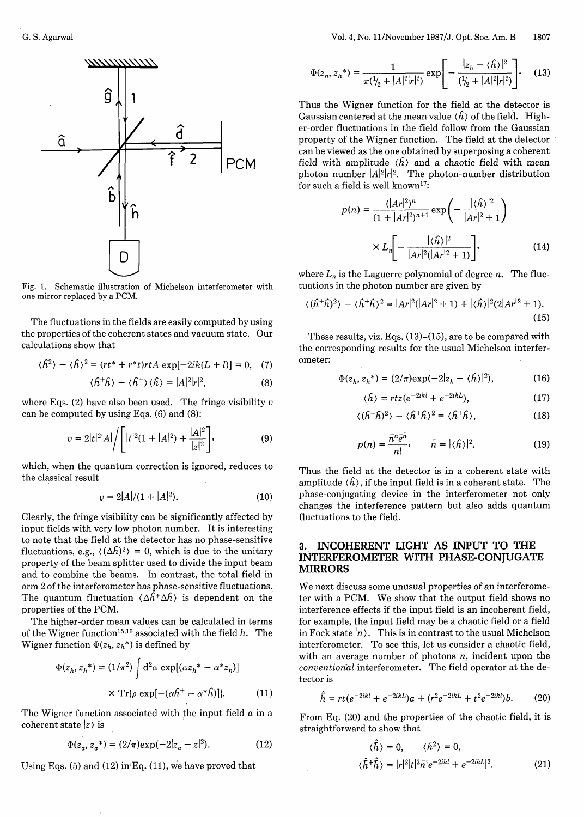

Fig. 1. Schematic illustration of Michelson interferometer with one mirror replaced by a PCM.

The fluctuations in the fields are easily computed by using the properties of the coherent states and vacuum state. Our calculations show that

$$
\langle \hat{h}^2 \rangle - \langle \hat{h} \rangle^2 = (rt^* + r^*t)rtA \exp[-2ik(L+l)] = 0, \quad (7)
$$

$$
\langle \hat{h}^+ \hat{h} \rangle - \langle \hat{h}^+ \rangle \langle \hat{h} \rangle = |A|^2 |r|^2, \tag{8}
$$

where Eqs. (2) have also been used. The fringe visibility  $v$ can be computed by using Eqs. (6) and (8):

$$
v = 2|t|^2|A|\bigg/\bigg[|t|^2(1+|A|^2) + \frac{|A|^2}{|z|^2}\bigg],\tag{9}
$$

which, when the quantum correction is ignored, reduces to the classical result

$$
v = 2|A|/(1 + |A|^2). \tag{10}
$$

Clearly, the fringe visibility can be significantly affected by input fields with very low photon number. It is interesting to note that the field at the detector has no phase-sensitive fluctuations, e.g.,  $\langle (\Delta \hat{h})^2 \rangle = 0$ , which is due to the unitary property of the beam splitter used to divide the input beam and to combine the beams. In contrast, the total field in arm 2 of the interferometer has phase-sensitive fluctuations. The quantum fluctuation  $\langle \Delta \hat{h}^+ \Delta \hat{h} \rangle$  is dependent on the properties of the PCM.

The higher-order mean values can be calculated in terms of the Wigner function<sup>15,16</sup> associated with the field  $h$ . The Wigner function  $\Phi(z_h, z_h^*)$  is defined by

$$
\Phi(z_h, z_h^*) = (1/\pi^2) \int d^2\alpha \exp[(\alpha z_h^* - \alpha^* z_h)]
$$
  
 
$$
\times \operatorname{Tr}[\rho \exp[-(\alpha h^+ - \alpha^* h)]]. \tag{11}
$$

The Wigner function associated with the input field  $a$  in a coherent state  $|z\rangle$  is

$$
\Phi(z_a, z_a^*) = (2/\pi) \exp(-2|z_a - z|^2). \tag{12}
$$

Using Eqs.  $(5)$  and  $(12)$  in Eq.  $(11)$ , we have proved that

$$
\Phi(z_h, z_h^*) = \frac{1}{\pi(\sqrt{l_2 + |A|^2}|r|^2)} \exp\left[-\frac{|z_h - \langle \hat{h} \rangle|^2}{(\sqrt{l_2 + |A|^2}|r|^2)}\right].
$$
 (13)

Thus the Wigner function for the field at the detector is Gaussian centered at the mean value  $\langle \hat{h} \rangle$  of the field. Higher-order fluctuations in the field follow from the Gaussian property of the Wigner function. The field at the detector can be viewed as the one obtained by superposing a coherent field with amplitude  $\langle \hat{h} \rangle$  and a chaotic field with mean photon number  $|A|^2|r|^2$ . The photon-number distribution for such a field is well known<sup>17</sup>:

$$
p(n) = \frac{(|Ar|^2)^n}{(1+|Ar|^2)^{n+1}} \exp\left(-\frac{|\langle \hat{h} \rangle|^2}{|Ar|^2+1}\right)
$$

$$
\times L_n \left[ -\frac{|\langle \hat{h} \rangle|^2}{|Ar|^2(|Ar|^2+1)} \right], \tag{14}
$$

where  $L_n$  is the Laguerre polynomial of degree  $n$ . The fluctuations in the photon number are given by

$$
\langle (\hat{h}^+\hat{h})^2 \rangle - \langle \hat{h}^+\hat{h} \rangle^2 = |Ar|^2(|Ar|^2 + 1) + |\langle \hat{h} \rangle|^2 (2|Ar|^2 + 1).
$$
\n(15)

These results, viz. Eqs.  $(13)$ – $(15)$ , are to be compared with the corresponding results for the usual Michelson interferometer:

$$
\Phi(z_h, z_h^*) = (2/\pi) \exp(-2|z_h - \langle \hat{h} \rangle|^2), \tag{16}
$$

$$
\langle \hat{h} \rangle = rtz(e^{-2ikl} + e^{-2ikL}), \qquad (17)
$$

$$
\langle (\hat{h}^+\hat{h})^2 \rangle - \langle \hat{h}^+\hat{h} \rangle^2 = \langle \hat{h}^+\hat{h} \rangle, \tag{18}
$$

$$
p(n) = \frac{\bar{n}^n \bar{e}^n}{n!}, \qquad \bar{n} = |\langle \hat{n} \rangle|^2. \tag{19}
$$

Thus the field at the detector is in a coherent state with amplitude  $\langle \hat{h} \rangle$ , if the input field is in a coherent state. The phase-conjugating device in the interferometer not only changes the interference pattern but also adds quantum fluctuations to the field.

# **3. INCOHERENT LIGHT AS INPUT TO THE INTERFEROMETER WITH PHASE-CONJUGATE MIRRORS**

We next discuss some unusual properties of an interferometer with a PCM. We show that the output field shows no interference effects if the input field is an incoherent field, for example, the input field may be a chaotic field or a field in Fock state  $|n\rangle$ . This is in contrast to the usual Michelson interferometer. To see this, let us consider a chaotic field, with an average number of photons  $n$ , incident upon the *conventional* interferometer. The field operator at the detector is

$$
\hat{\bar{h}} = rt(e^{-2ikl} + e^{-2ikL})a + (r^2e^{-2ikL} + t^2e^{-2ikl})b.
$$
 (20)

From Eq. (20) and the properties of the chaotic field, it is straightforward to show that

(12) 
$$
\langle \hat{h} \rangle = 0, \quad \langle \bar{h}^2 \rangle = 0,
$$
  
 $\langle \hat{h}^+ \hat{h} \rangle = |r|^2 |t|^2 \bar{n} |e^{-2ikl} + e^{-2ikl}|^2.$  (21)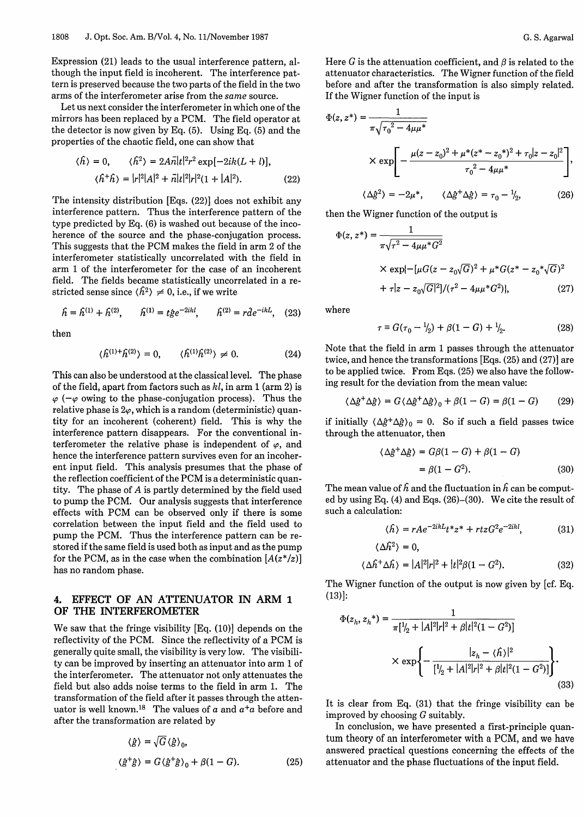Expression (21) leads to the usual interference pattern, although the input field is incoherent. The interference pattern is preserved because the two parts of the field in the two arms of the interferometer arise from the *same* source.

Let us next consider the interferometer in which one of the mirrors has been replaced by a PCM. The field operator at the detector is now given by Eq. (5). Using Eq. (5) and the properties of the chaotic field, one can show that

$$
\langle \hat{h} \rangle = 0, \qquad \langle \hat{h}^2 \rangle = 2A\bar{n}|t|^2 r^2 \exp[-2ik(L+l)],
$$
  

$$
\langle \hat{h}^+ \hat{h} \rangle = |r|^2 |A|^2 + \bar{n}|t|^2 |r|^2 (1 + |A|^2). \tag{22}
$$

The intensity distribution [Eqs. (22)] does not exhibit any interference pattern. Thus the interference pattern of the type predicted by Eq. (6) is washed out because of the incoherence of the source and the phase-conjugation process. This suggests that the PCM makes the field in arm 2 of the interferometer statistically uncorrelated with the field in arm 1 of the interferometer for the case of an incoherent field. The fields became statistically uncorrelated in a restricted sense since  $\langle \hat{h}^2 \rangle \neq 0$ , i.e., if we write

$$
\hat{h} = \hat{h}^{(1)} + \hat{h}^{(2)}, \qquad \hat{h}^{(1)} = t\hat{g}e^{-2ikl}, \qquad \hat{h}^{(2)} = r\hat{d}e^{-ikL}, \quad (23)
$$

$$
\langle \hat{h}^{(1)+} \hat{h}^{(2)} \rangle = 0, \qquad \langle \hat{h}^{(1)} \hat{h}^{(2)} \rangle \neq 0. \tag{24}
$$

This can also be understood at the classical level. The phase of the field, apart from factors such as *hl,* in arm 1 (arm 2) is  $\varphi$  ( $-\varphi$  owing to the phase-conjugation process). Thus the relative phase is  $2\varphi$ , which is a random (deterministic) quantity for an incoherent (coherent) field. This is why the interference pattern disappears. For the conventional interferometer the relative phase is independent of  $\varphi$ , and hence the interference pattern survives even for an incoherent input field. This analysis presumes that the phase of the reflection coefficient of the PCM is a deterministic quantity. The phase of A is partly determined by the field used to pump the PCM. Our analysis suggests that interference effects with PCM can be observed only if there is some correlation between the input field and the field used to pump the PCM. Thus the interference pattern can be restored if the same field is used both as input and as the pump for the PCM, as in the case when the combination  $[A(z^*/z)]$ has no random phase.

### **4.** EFFECT OF AN ATTENUATOR IN ARM 1 **OF THE INTERFEROMETER**

We saw that the fringe visibility [Eq. (10)] depends on the reflectivity of the PCM. Since the reflectivity of a PCM is generally quite small, the visibility is very low. The visibility can be improved by inserting an attenuator into arm 1 of the interferometer. The attenuator not only attenuates the field but also adds noise terms to the field in arm 1. The transformation of the field after it passes through the attenuator is well known.'8 The values of *a* and *a+a* before and after the transformation are related by

$$
\langle \hat{g} \rangle = \sqrt{G} \langle \hat{g} \rangle_0,
$$
  

$$
\langle \hat{g}^{\dagger} \hat{g} \rangle = G \langle \hat{g}^{\dagger} \hat{g} \rangle_0 + \beta (1 - G).
$$
 (25)

Here G is the attenuation coefficient, and  $\beta$  is related to the attenuator characteristics. The Wigner function of the field before and after the transformation is also simply related. If the Wigner function of the input is

$$
\Phi(z, z^*) = \frac{1}{\pi \sqrt{\tau_0^2 - 4\mu \mu^*}}
$$
\n
$$
\times \exp\left[-\frac{\mu (z - z_0)^2 + \mu^* (z^* - z_0^*)^2 + \tau_0 |z - z_0|^2}{\tau_0^2 - 4\mu \mu^*}\right],
$$
\n
$$
\langle \Delta \beta^2 \rangle = -2\mu^*, \qquad \langle \Delta \beta^+ \Delta \beta \rangle = \tau_0 - \frac{1}{2}, \tag{26}
$$

then the Wigner function of the output is

$$
\Phi(z, z^*) = \frac{1}{\pi \sqrt{\tau^2 - 4\mu \mu^* G^2}}
$$
\n
$$
\times \exp\{-[\mu G(z - z_0 \sqrt{G})^2 + \mu^* G(z^* - z_0^* \sqrt{G})^2 + \tau]z - z_0 \sqrt{G}\}^2]/(\tau^2 - 4\mu \mu^* G^2)\},
$$
\n(27)

where

then 
$$
\tau \equiv G(\tau_0 - \frac{1}{2}) + \beta(1 - G) + \frac{1}{2}.
$$
 (28)

Note that the field in arm 1 passes through the attenuator twice, and hence the transformations [Eqs. (25) and (27)] are to be applied twice. From Eqs. (25) we also have the following result for the deviation from the mean value:

$$
\langle \Delta \hat{g}^+ \Delta \hat{g} \rangle = G \langle \Delta \hat{g}^+ \Delta \hat{g} \rangle_0 + \beta (1 - G) = \beta (1 - G) \tag{29}
$$

if initially  $(\Delta \hat{g}^+ \Delta \hat{g})_0 = 0$ . So if such a field passes twice through the attenuator, then

$$
\langle \Delta \hat{g}^+ \Delta \hat{g} \rangle = G\beta (1 - G) + \beta (1 - G)
$$
  
=  $\beta (1 - G^2)$ . (30)

The mean value of  $\hat{h}$  and the fluctuation in  $\hat{h}$  can be computed by using Eq. (4) and Eqs. (26)-(30). We cite the result of such a calculation:

$$
\langle \hat{h} \rangle = rAe^{-2ikL}t^*z^* + rtzG^2e^{-2ikl}, \tag{31}
$$

$$
\langle \Delta \hat{h}^2 \rangle = 0,
$$
  

$$
\langle \Delta \hat{h}^+ \Delta \hat{h} \rangle = |A|^2 |r|^2 + |t|^2 \beta (1 - G^2).
$$
 (32)

The Wigner function of the output is now given by [cf. Eq. (13)]:

$$
\langle \Delta \hat{h}^+ \Delta \hat{h} \rangle = |A|^2 |r|^2 + |t|^2 \beta (1 - G^2). \tag{32}
$$
  
\n
$$
\text{Wigner function of the output is now given by [cf. Eq.]}
$$
  
\n
$$
\Phi(z_h, z_h^*) = \frac{1}{\pi [1/2 + |A|^2 |r|^2 + \beta |t|^2 (1 - G^2)]}
$$
  
\n
$$
\times \exp \left\{ -\frac{|z_h - \langle \hat{h} \rangle|^2}{[1/2 + |A|^2 |r|^2 + \beta |t|^2 (1 - G^2)]} \right\}.
$$
  
\n(33)

It is clear from Eq. (31) that the fringe visibility can be improved by choosing G suitably.

In conclusion, we have presented a first-principle quantum theory of an interferometer with a PCM, and we have answered practical questions concerning the effects of the attenuator and the phase fluctuations of the input field.